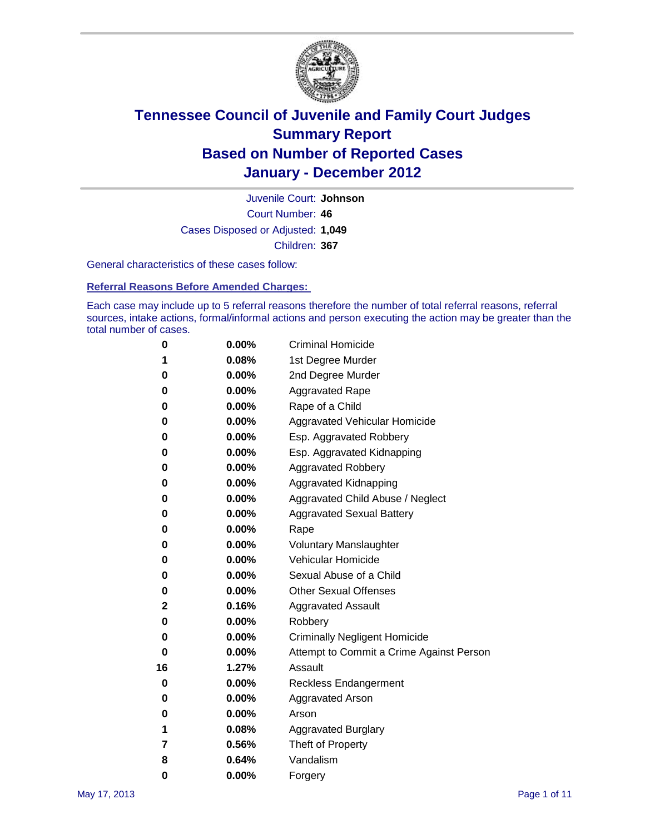

Court Number: **46** Juvenile Court: **Johnson** Cases Disposed or Adjusted: **1,049** Children: **367**

General characteristics of these cases follow:

**Referral Reasons Before Amended Charges:** 

Each case may include up to 5 referral reasons therefore the number of total referral reasons, referral sources, intake actions, formal/informal actions and person executing the action may be greater than the total number of cases.

| 0  | 0.00%    | <b>Criminal Homicide</b>                 |  |  |
|----|----------|------------------------------------------|--|--|
| 1  | 0.08%    | 1st Degree Murder                        |  |  |
| 0  | 0.00%    | 2nd Degree Murder                        |  |  |
| 0  | 0.00%    | <b>Aggravated Rape</b>                   |  |  |
| 0  | 0.00%    | Rape of a Child                          |  |  |
| 0  | 0.00%    | Aggravated Vehicular Homicide            |  |  |
| 0  | 0.00%    | Esp. Aggravated Robbery                  |  |  |
| 0  | 0.00%    | Esp. Aggravated Kidnapping               |  |  |
| 0  | 0.00%    | <b>Aggravated Robbery</b>                |  |  |
| 0  | 0.00%    | Aggravated Kidnapping                    |  |  |
| 0  | 0.00%    | Aggravated Child Abuse / Neglect         |  |  |
| 0  | $0.00\%$ | <b>Aggravated Sexual Battery</b>         |  |  |
| 0  | 0.00%    | Rape                                     |  |  |
| 0  | $0.00\%$ | <b>Voluntary Manslaughter</b>            |  |  |
| 0  | 0.00%    | Vehicular Homicide                       |  |  |
| 0  | 0.00%    | Sexual Abuse of a Child                  |  |  |
| 0  | 0.00%    | <b>Other Sexual Offenses</b>             |  |  |
| 2  | 0.16%    | <b>Aggravated Assault</b>                |  |  |
| 0  | $0.00\%$ | Robbery                                  |  |  |
| 0  | 0.00%    | <b>Criminally Negligent Homicide</b>     |  |  |
| 0  | 0.00%    | Attempt to Commit a Crime Against Person |  |  |
| 16 | 1.27%    | Assault                                  |  |  |
| 0  | 0.00%    | <b>Reckless Endangerment</b>             |  |  |
| 0  | 0.00%    | <b>Aggravated Arson</b>                  |  |  |
| 0  | 0.00%    | Arson                                    |  |  |
| 1  | 0.08%    | <b>Aggravated Burglary</b>               |  |  |
| 7  | 0.56%    | Theft of Property                        |  |  |
| 8  | 0.64%    | Vandalism                                |  |  |
| 0  | 0.00%    | Forgery                                  |  |  |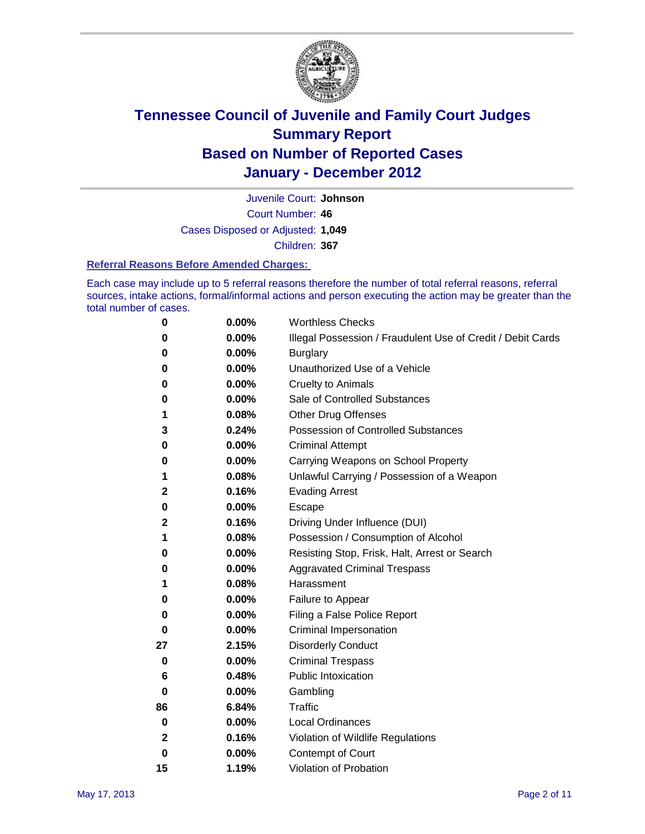

Court Number: **46** Juvenile Court: **Johnson** Cases Disposed or Adjusted: **1,049** Children: **367**

#### **Referral Reasons Before Amended Charges:**

Each case may include up to 5 referral reasons therefore the number of total referral reasons, referral sources, intake actions, formal/informal actions and person executing the action may be greater than the total number of cases.

| 0            | 0.00% | <b>Worthless Checks</b>                                     |
|--------------|-------|-------------------------------------------------------------|
| 0            | 0.00% | Illegal Possession / Fraudulent Use of Credit / Debit Cards |
| 0            | 0.00% | <b>Burglary</b>                                             |
| 0            | 0.00% | Unauthorized Use of a Vehicle                               |
| 0            | 0.00% | <b>Cruelty to Animals</b>                                   |
| 0            | 0.00% | Sale of Controlled Substances                               |
| 1            | 0.08% | <b>Other Drug Offenses</b>                                  |
| 3            | 0.24% | <b>Possession of Controlled Substances</b>                  |
| 0            | 0.00% | <b>Criminal Attempt</b>                                     |
| 0            | 0.00% | Carrying Weapons on School Property                         |
| 1            | 0.08% | Unlawful Carrying / Possession of a Weapon                  |
| 2            | 0.16% | <b>Evading Arrest</b>                                       |
| 0            | 0.00% | Escape                                                      |
| 2            | 0.16% | Driving Under Influence (DUI)                               |
| 1            | 0.08% | Possession / Consumption of Alcohol                         |
| 0            | 0.00% | Resisting Stop, Frisk, Halt, Arrest or Search               |
| 0            | 0.00% | <b>Aggravated Criminal Trespass</b>                         |
| 1            | 0.08% | Harassment                                                  |
| 0            | 0.00% | Failure to Appear                                           |
| 0            | 0.00% | Filing a False Police Report                                |
| 0            | 0.00% | Criminal Impersonation                                      |
| 27           | 2.15% | <b>Disorderly Conduct</b>                                   |
| 0            | 0.00% | <b>Criminal Trespass</b>                                    |
| 6            | 0.48% | <b>Public Intoxication</b>                                  |
| 0            | 0.00% | Gambling                                                    |
| 86           | 6.84% | <b>Traffic</b>                                              |
| 0            | 0.00% | <b>Local Ordinances</b>                                     |
| $\mathbf{2}$ | 0.16% | Violation of Wildlife Regulations                           |
| 0            | 0.00% | Contempt of Court                                           |
| 15           | 1.19% | Violation of Probation                                      |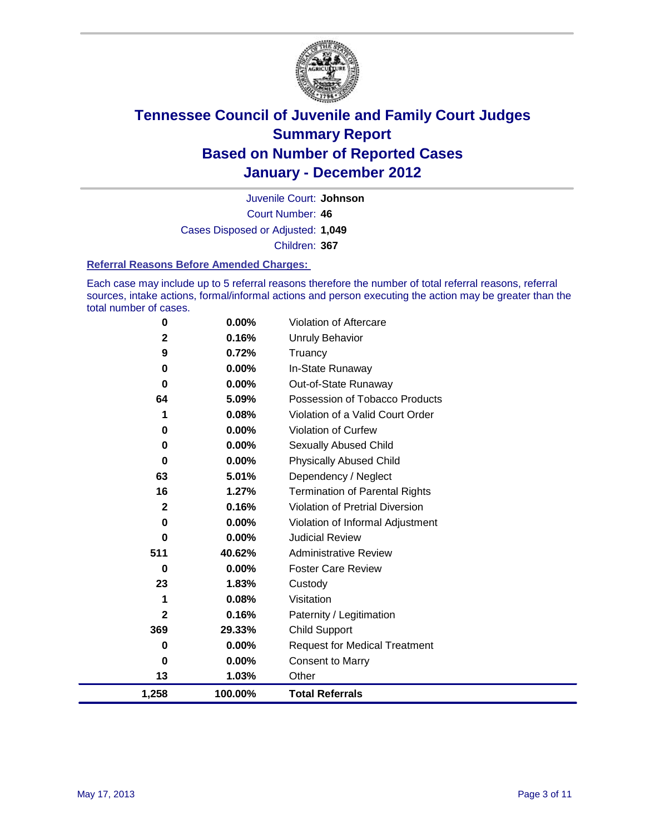

Court Number: **46** Juvenile Court: **Johnson** Cases Disposed or Adjusted: **1,049** Children: **367**

#### **Referral Reasons Before Amended Charges:**

Each case may include up to 5 referral reasons therefore the number of total referral reasons, referral sources, intake actions, formal/informal actions and person executing the action may be greater than the total number of cases.

| 1,258   | 100.00%           | <b>Total Referrals</b>                                 |
|---------|-------------------|--------------------------------------------------------|
| 13      | 1.03%             | Other                                                  |
| 0       | 0.00%             | <b>Consent to Marry</b>                                |
| 0       | $0.00\%$          | <b>Request for Medical Treatment</b>                   |
| 369     | 29.33%            | <b>Child Support</b>                                   |
| 2       | 0.16%             | Paternity / Legitimation                               |
| 1       | 0.08%             | Visitation                                             |
| 23      | 1.83%             | Custody                                                |
| 0       | $0.00\%$          | <b>Foster Care Review</b>                              |
| 511     | 40.62%            | <b>Administrative Review</b>                           |
| 0       | 0.00%             | <b>Judicial Review</b>                                 |
| 0       | $0.00\%$          | Violation of Informal Adjustment                       |
| 2       | 0.16%             | <b>Violation of Pretrial Diversion</b>                 |
| 16      | 1.27%             | <b>Termination of Parental Rights</b>                  |
| 63      | 5.01%             | Dependency / Neglect                                   |
| 0       | $0.00\%$          | <b>Physically Abused Child</b>                         |
| 0       | $0.00\%$          | Sexually Abused Child                                  |
| 0       | $0.00\%$          | <b>Violation of Curfew</b>                             |
| 1       | 0.08%             | Violation of a Valid Court Order                       |
| 0<br>64 | $0.00\%$<br>5.09% | Out-of-State Runaway<br>Possession of Tobacco Products |
| 0       | $0.00\%$          | In-State Runaway                                       |
| 9       | 0.72%             | Truancy                                                |
| 2       | 0.16%             | Unruly Behavior                                        |
| 0       | $0.00\%$          | <b>Violation of Aftercare</b>                          |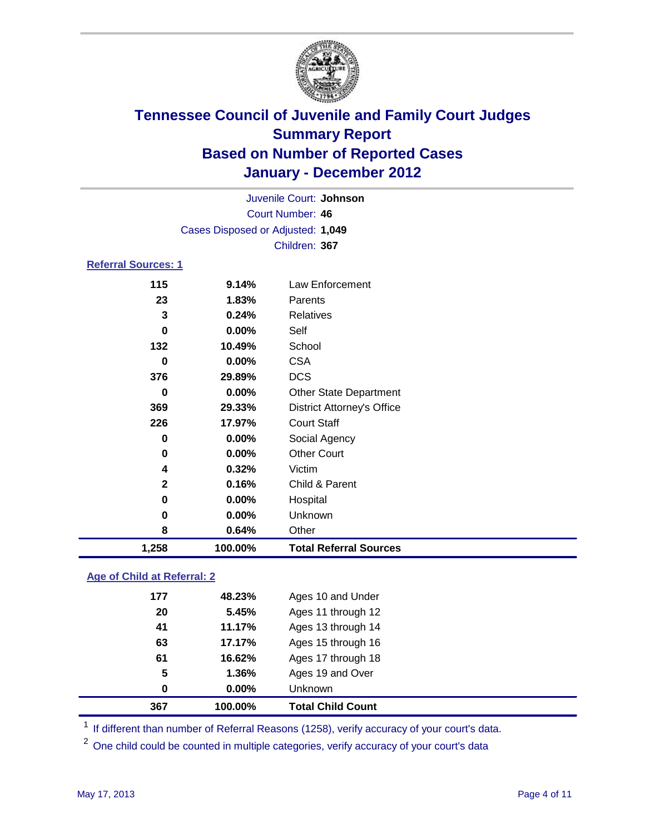

| Juvenile Court: Johnson    |                                   |                                   |  |  |
|----------------------------|-----------------------------------|-----------------------------------|--|--|
|                            | Court Number: 46                  |                                   |  |  |
|                            | Cases Disposed or Adjusted: 1,049 |                                   |  |  |
|                            | Children: 367                     |                                   |  |  |
| <b>Referral Sources: 1</b> |                                   |                                   |  |  |
| 115                        | 9.14%                             | <b>Law Enforcement</b>            |  |  |
| 23                         | 1.83%                             | Parents                           |  |  |
| 3                          | 0.24%                             | Relatives                         |  |  |
| 0                          | 0.00%                             | Self                              |  |  |
| 132                        | 10.49%                            | School                            |  |  |
| 0                          | 0.00%                             | <b>CSA</b>                        |  |  |
| 376                        | 29.89%                            | <b>DCS</b>                        |  |  |
| 0                          | 0.00%                             | <b>Other State Department</b>     |  |  |
| 369                        | 29.33%                            | <b>District Attorney's Office</b> |  |  |
| 226                        | 17.97%                            | <b>Court Staff</b>                |  |  |
| 0                          | 0.00%                             | Social Agency                     |  |  |
| 0                          | 0.00%                             | <b>Other Court</b>                |  |  |
| 4                          | 0.32%                             | Victim                            |  |  |
| $\mathbf{2}$               | 0.16%                             | Child & Parent                    |  |  |
| 0                          | 0.00%                             | Hospital                          |  |  |
| 0                          | 0.00%                             | Unknown                           |  |  |
| 8                          | 0.64%                             | Other                             |  |  |
| 1,258                      | 100.00%                           | <b>Total Referral Sources</b>     |  |  |

### **Age of Child at Referral: 2**

| 367 | 100.00% | <b>Total Child Count</b> |
|-----|---------|--------------------------|
| 0   | 0.00%   | <b>Unknown</b>           |
| 5   | 1.36%   | Ages 19 and Over         |
| 61  | 16.62%  | Ages 17 through 18       |
| 63  | 17.17%  | Ages 15 through 16       |
| 41  | 11.17%  | Ages 13 through 14       |
| 20  | 5.45%   | Ages 11 through 12       |
| 177 | 48.23%  | Ages 10 and Under        |
|     |         |                          |

<sup>1</sup> If different than number of Referral Reasons (1258), verify accuracy of your court's data.

<sup>2</sup> One child could be counted in multiple categories, verify accuracy of your court's data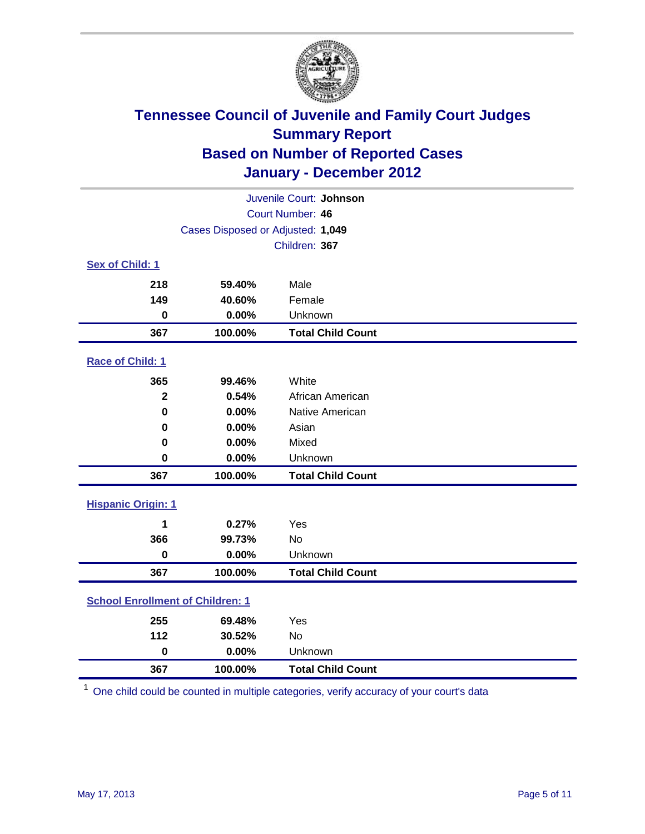

| Juvenile Court: Johnson                 |                                   |                          |  |  |
|-----------------------------------------|-----------------------------------|--------------------------|--|--|
| Court Number: 46                        |                                   |                          |  |  |
|                                         | Cases Disposed or Adjusted: 1,049 |                          |  |  |
|                                         |                                   | Children: 367            |  |  |
| Sex of Child: 1                         |                                   |                          |  |  |
| 218                                     | 59.40%                            | Male                     |  |  |
| 149                                     | 40.60%                            | Female                   |  |  |
| $\mathbf 0$                             | 0.00%                             | Unknown                  |  |  |
| 367                                     | 100.00%                           | <b>Total Child Count</b> |  |  |
| Race of Child: 1                        |                                   |                          |  |  |
| 365                                     | 99.46%                            | White                    |  |  |
| $\mathbf{2}$                            | 0.54%                             | African American         |  |  |
| $\mathbf 0$                             | 0.00%                             | Native American          |  |  |
| 0                                       | 0.00%                             | Asian                    |  |  |
| 0                                       | 0.00%                             | Mixed                    |  |  |
| $\mathbf 0$                             | 0.00%                             | Unknown                  |  |  |
| 367                                     | 100.00%                           | <b>Total Child Count</b> |  |  |
| <b>Hispanic Origin: 1</b>               |                                   |                          |  |  |
| 1                                       | 0.27%                             | Yes                      |  |  |
| 366                                     | 99.73%                            | <b>No</b>                |  |  |
| $\mathbf 0$                             | 0.00%                             | Unknown                  |  |  |
| 367                                     | 100.00%                           | <b>Total Child Count</b> |  |  |
| <b>School Enrollment of Children: 1</b> |                                   |                          |  |  |
| 255                                     | 69.48%                            | Yes                      |  |  |
| 112                                     | 30.52%                            | <b>No</b>                |  |  |
| $\mathbf 0$                             | 0.00%                             | Unknown                  |  |  |
| 367                                     | 100.00%                           | <b>Total Child Count</b> |  |  |

One child could be counted in multiple categories, verify accuracy of your court's data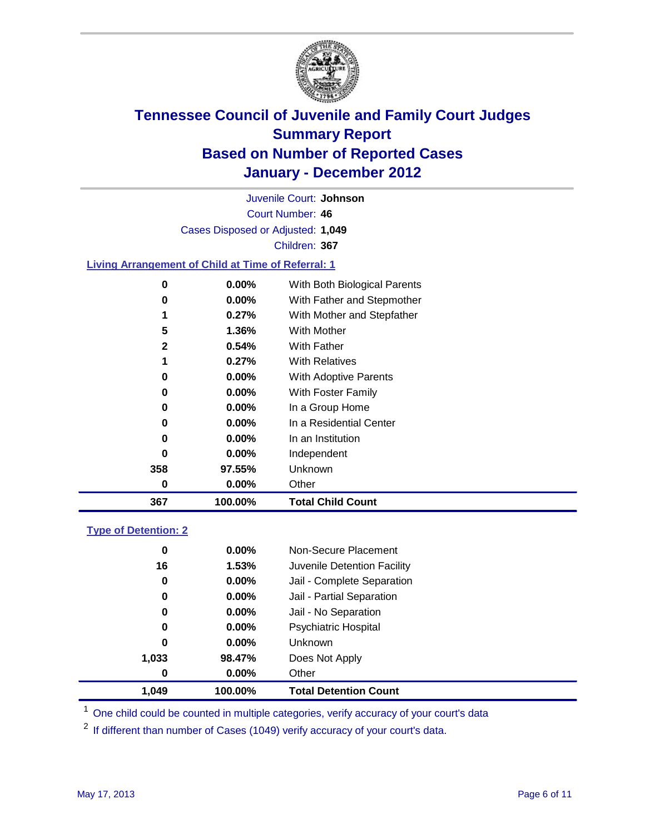

Court Number: **46** Juvenile Court: **Johnson** Cases Disposed or Adjusted: **1,049** Children: **367**

### **Living Arrangement of Child at Time of Referral: 1**

| 367          | 100.00%  | <b>Total Child Count</b>     |
|--------------|----------|------------------------------|
| 0            | 0.00%    | Other                        |
| 358          | 97.55%   | <b>Unknown</b>               |
| 0            | $0.00\%$ | Independent                  |
| 0            | 0.00%    | In an Institution            |
| 0            | $0.00\%$ | In a Residential Center      |
| 0            | $0.00\%$ | In a Group Home              |
| 0            | $0.00\%$ | With Foster Family           |
| 0            | $0.00\%$ | With Adoptive Parents        |
| 1            | 0.27%    | <b>With Relatives</b>        |
| $\mathbf{2}$ | 0.54%    | With Father                  |
| 5            | 1.36%    | With Mother                  |
| 1            | 0.27%    | With Mother and Stepfather   |
| 0            | $0.00\%$ | With Father and Stepmother   |
| 0            | 0.00%    | With Both Biological Parents |
|              |          |                              |

#### **Type of Detention: 2**

| 1.049 | 100.00%  | <b>Total Detention Count</b> |  |
|-------|----------|------------------------------|--|
| 0     | 0.00%    | Other                        |  |
| 1,033 | 98.47%   | Does Not Apply               |  |
| 0     | 0.00%    | Unknown                      |  |
| 0     | $0.00\%$ | Psychiatric Hospital         |  |
| 0     | 0.00%    | Jail - No Separation         |  |
| 0     | $0.00\%$ | Jail - Partial Separation    |  |
| 0     | 0.00%    | Jail - Complete Separation   |  |
| 16    | 1.53%    | Juvenile Detention Facility  |  |
| 0     | $0.00\%$ | Non-Secure Placement         |  |
|       |          |                              |  |

<sup>1</sup> One child could be counted in multiple categories, verify accuracy of your court's data

<sup>2</sup> If different than number of Cases (1049) verify accuracy of your court's data.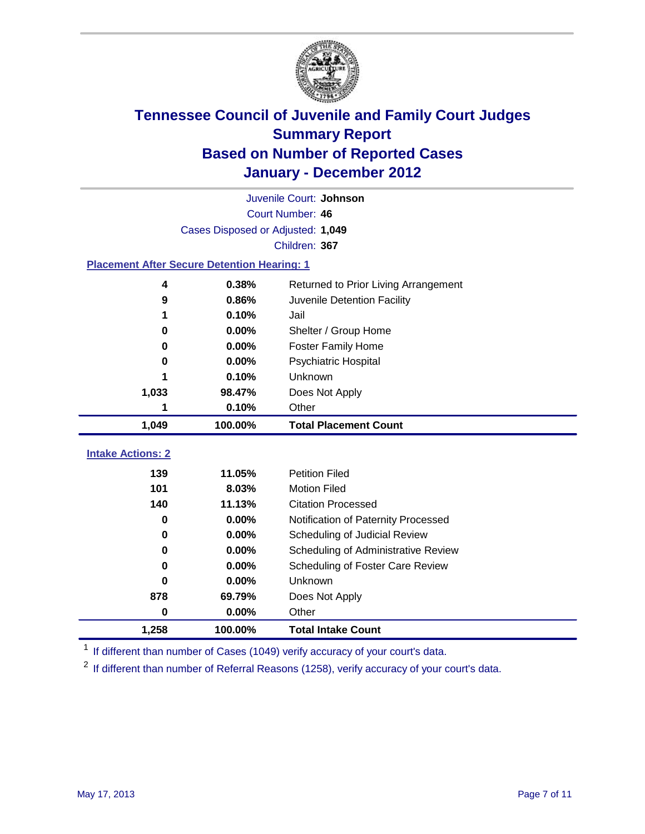

|                                                    | Juvenile Court: Johnson           |                                      |  |  |  |
|----------------------------------------------------|-----------------------------------|--------------------------------------|--|--|--|
|                                                    | Court Number: 46                  |                                      |  |  |  |
|                                                    | Cases Disposed or Adjusted: 1,049 |                                      |  |  |  |
|                                                    |                                   | Children: 367                        |  |  |  |
| <b>Placement After Secure Detention Hearing: 1</b> |                                   |                                      |  |  |  |
| 4                                                  | 0.38%                             | Returned to Prior Living Arrangement |  |  |  |
| 9                                                  | 0.86%                             | Juvenile Detention Facility          |  |  |  |
| 1                                                  | 0.10%                             | Jail                                 |  |  |  |
| 0                                                  | 0.00%                             | Shelter / Group Home                 |  |  |  |
| $\bf{0}$                                           | 0.00%                             | <b>Foster Family Home</b>            |  |  |  |
| 0                                                  | 0.00%                             | Psychiatric Hospital                 |  |  |  |
|                                                    | 0.10%                             | Unknown                              |  |  |  |
| 1,033                                              | 98.47%                            | Does Not Apply                       |  |  |  |
| 1                                                  | 0.10%                             | Other                                |  |  |  |
| 1,049                                              | 100.00%                           | <b>Total Placement Count</b>         |  |  |  |
| <b>Intake Actions: 2</b>                           |                                   |                                      |  |  |  |
|                                                    |                                   |                                      |  |  |  |
| 139                                                | 11.05%                            | <b>Petition Filed</b>                |  |  |  |
| 101                                                | 8.03%                             | <b>Motion Filed</b>                  |  |  |  |
| 140                                                | 11.13%                            | <b>Citation Processed</b>            |  |  |  |
| $\bf{0}$                                           | 0.00%                             | Notification of Paternity Processed  |  |  |  |
| $\bf{0}$                                           | 0.00%                             | Scheduling of Judicial Review        |  |  |  |
| 0                                                  | 0.00%                             | Scheduling of Administrative Review  |  |  |  |
| 0                                                  | 0.00%                             | Scheduling of Foster Care Review     |  |  |  |
| $\bf{0}$                                           | 0.00%                             | Unknown                              |  |  |  |
| 878                                                | 69.79%                            | Does Not Apply                       |  |  |  |
| $\pmb{0}$                                          | 0.00%                             | Other                                |  |  |  |
| 1,258                                              | 100.00%                           | <b>Total Intake Count</b>            |  |  |  |

<sup>1</sup> If different than number of Cases (1049) verify accuracy of your court's data.

<sup>2</sup> If different than number of Referral Reasons (1258), verify accuracy of your court's data.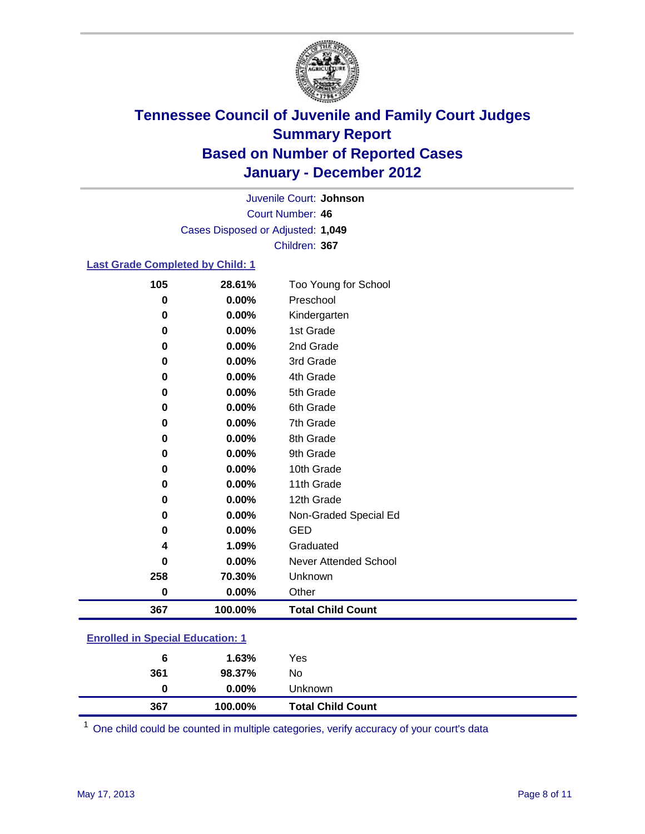

Court Number: **46** Juvenile Court: **Johnson** Cases Disposed or Adjusted: **1,049** Children: **367**

#### **Last Grade Completed by Child: 1**

| 105                                     | 28.61%   | Too Young for School         |  |
|-----------------------------------------|----------|------------------------------|--|
| 0                                       | 0.00%    | Preschool                    |  |
| 0                                       | 0.00%    | Kindergarten                 |  |
| 0                                       | $0.00\%$ | 1st Grade                    |  |
| 0                                       | 0.00%    | 2nd Grade                    |  |
| 0                                       | $0.00\%$ | 3rd Grade                    |  |
| 0                                       | 0.00%    | 4th Grade                    |  |
| 0                                       | 0.00%    | 5th Grade                    |  |
| 0                                       | 0.00%    | 6th Grade                    |  |
| $\bf{0}$                                | 0.00%    | 7th Grade                    |  |
| 0                                       | 0.00%    | 8th Grade                    |  |
| 0                                       | 0.00%    | 9th Grade                    |  |
| 0                                       | 0.00%    | 10th Grade                   |  |
| 0                                       | 0.00%    | 11th Grade                   |  |
| 0                                       | 0.00%    | 12th Grade                   |  |
| 0                                       | 0.00%    | Non-Graded Special Ed        |  |
| $\mathbf 0$                             | 0.00%    | <b>GED</b>                   |  |
| 4                                       | 1.09%    | Graduated                    |  |
| $\bf{0}$                                | 0.00%    | <b>Never Attended School</b> |  |
| 258                                     | 70.30%   | Unknown                      |  |
| 0                                       | 0.00%    | Other                        |  |
| 367                                     | 100.00%  | <b>Total Child Count</b>     |  |
| <b>Enrolled in Special Education: 1</b> |          |                              |  |

| 367                                      | 100.00%  | <b>Total Child Count</b> |  |  |
|------------------------------------------|----------|--------------------------|--|--|
| 0                                        | $0.00\%$ | Unknown                  |  |  |
| 361                                      | 98.37%   | No                       |  |  |
| 6                                        | 1.63%    | Yes                      |  |  |
| <u>Einvilled in Opecial Education. T</u> |          |                          |  |  |

One child could be counted in multiple categories, verify accuracy of your court's data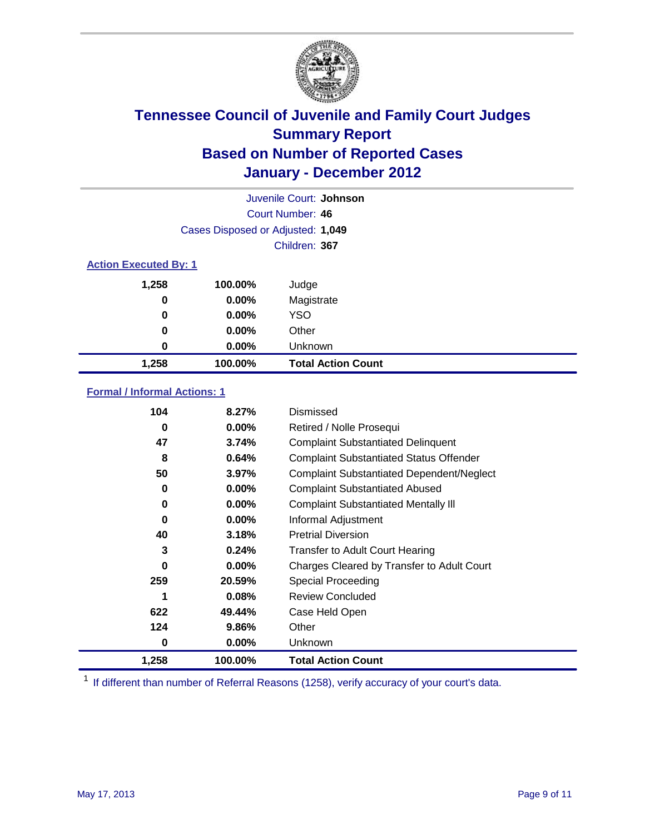

|       | Juvenile Court: Johnson           |                           |  |  |
|-------|-----------------------------------|---------------------------|--|--|
|       | Court Number: 46                  |                           |  |  |
|       | Cases Disposed or Adjusted: 1,049 |                           |  |  |
|       | Children: 367                     |                           |  |  |
|       | <b>Action Executed By: 1</b>      |                           |  |  |
| 1,258 | 100.00%                           | Judge                     |  |  |
| 0     | 0.00%                             | Magistrate                |  |  |
| 0     | $0.00\%$                          | <b>YSO</b>                |  |  |
| 0     | $0.00\%$                          | Other                     |  |  |
| 0     | 0.00%                             | Unknown                   |  |  |
| 1,258 | 100.00%                           | <b>Total Action Count</b> |  |  |

### **Formal / Informal Actions: 1**

| 104   | 8.27%    | Dismissed                                        |
|-------|----------|--------------------------------------------------|
| 0     | $0.00\%$ | Retired / Nolle Prosequi                         |
| 47    | 3.74%    | <b>Complaint Substantiated Delinquent</b>        |
| 8     | 0.64%    | <b>Complaint Substantiated Status Offender</b>   |
| 50    | 3.97%    | <b>Complaint Substantiated Dependent/Neglect</b> |
| 0     | $0.00\%$ | <b>Complaint Substantiated Abused</b>            |
| 0     | $0.00\%$ | <b>Complaint Substantiated Mentally III</b>      |
| 0     | $0.00\%$ | Informal Adjustment                              |
| 40    | 3.18%    | <b>Pretrial Diversion</b>                        |
| 3     | 0.24%    | <b>Transfer to Adult Court Hearing</b>           |
| 0     | $0.00\%$ | Charges Cleared by Transfer to Adult Court       |
| 259   | 20.59%   | Special Proceeding                               |
| 1     | 0.08%    | <b>Review Concluded</b>                          |
| 622   | 49.44%   | Case Held Open                                   |
| 124   | 9.86%    | Other                                            |
| 0     | $0.00\%$ | <b>Unknown</b>                                   |
| 1,258 | 100.00%  | <b>Total Action Count</b>                        |

<sup>1</sup> If different than number of Referral Reasons (1258), verify accuracy of your court's data.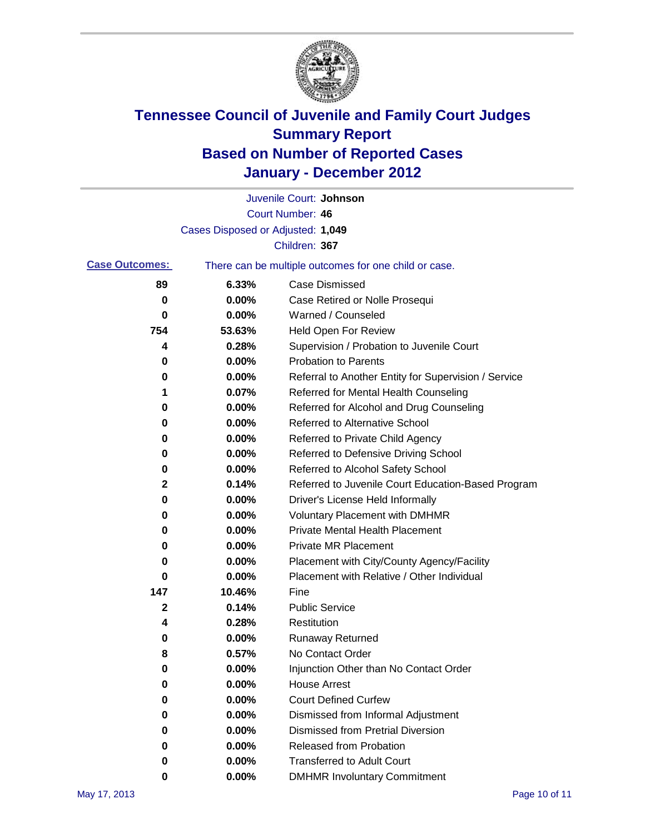

|                       |                                   | Juvenile Court: Johnson                               |
|-----------------------|-----------------------------------|-------------------------------------------------------|
|                       |                                   | Court Number: 46                                      |
|                       | Cases Disposed or Adjusted: 1,049 |                                                       |
|                       |                                   | Children: 367                                         |
| <b>Case Outcomes:</b> |                                   | There can be multiple outcomes for one child or case. |
| 89                    | 6.33%                             | Case Dismissed                                        |
| 0                     | 0.00%                             | Case Retired or Nolle Prosequi                        |
| 0                     | 0.00%                             | Warned / Counseled                                    |
| 754                   | 53.63%                            | <b>Held Open For Review</b>                           |
| 4                     | 0.28%                             | Supervision / Probation to Juvenile Court             |
| 0                     | 0.00%                             | <b>Probation to Parents</b>                           |
| 0                     | 0.00%                             | Referral to Another Entity for Supervision / Service  |
| 1                     | 0.07%                             | Referred for Mental Health Counseling                 |
| 0                     | 0.00%                             | Referred for Alcohol and Drug Counseling              |
| 0                     | 0.00%                             | <b>Referred to Alternative School</b>                 |
| 0                     | 0.00%                             | Referred to Private Child Agency                      |
| 0                     | 0.00%                             | Referred to Defensive Driving School                  |
| 0                     | 0.00%                             | Referred to Alcohol Safety School                     |
| 2                     | 0.14%                             | Referred to Juvenile Court Education-Based Program    |
| 0                     | 0.00%                             | Driver's License Held Informally                      |
| 0                     | 0.00%                             | <b>Voluntary Placement with DMHMR</b>                 |
| 0                     | 0.00%                             | <b>Private Mental Health Placement</b>                |
| 0                     | 0.00%                             | <b>Private MR Placement</b>                           |
| 0                     | 0.00%                             | Placement with City/County Agency/Facility            |
| 0                     | 0.00%                             | Placement with Relative / Other Individual            |
| 147                   | 10.46%                            | Fine                                                  |
| 2                     | 0.14%                             | <b>Public Service</b>                                 |
| 4                     | 0.28%                             | Restitution                                           |
| 0                     | 0.00%                             | <b>Runaway Returned</b>                               |
| 8                     | 0.57%                             | No Contact Order                                      |
| 0                     | $0.00\%$                          | Injunction Other than No Contact Order                |
| 0                     | 0.00%                             | <b>House Arrest</b>                                   |
| 0                     | 0.00%                             | <b>Court Defined Curfew</b>                           |
| 0                     | 0.00%                             | Dismissed from Informal Adjustment                    |
| 0                     | 0.00%                             | <b>Dismissed from Pretrial Diversion</b>              |
| 0                     | 0.00%                             | Released from Probation                               |
| 0                     | 0.00%                             | <b>Transferred to Adult Court</b>                     |
| 0                     | $0.00\%$                          | <b>DMHMR Involuntary Commitment</b>                   |